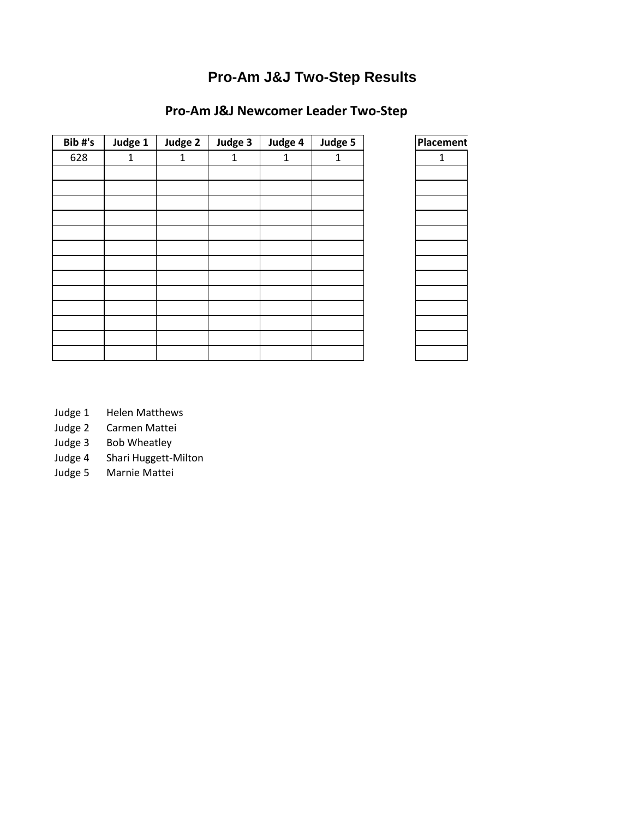# **Pro-Am J&J Two-Step Results**

## **Pro-Am J&J Newcomer Leader Two-Step**

| Bib#'s | Judge 1 | Judge 2 | Judge 3 | Judge 4 | Judge 5 | Placement |
|--------|---------|---------|---------|---------|---------|-----------|
| 628    | 1       | 1       | 1       | 1       | 1       | 1         |
|        |         |         |         |         |         |           |
|        |         |         |         |         |         |           |
|        |         |         |         |         |         |           |
|        |         |         |         |         |         |           |
|        |         |         |         |         |         |           |
|        |         |         |         |         |         |           |
|        |         |         |         |         |         |           |
|        |         |         |         |         |         |           |
|        |         |         |         |         |         |           |
|        |         |         |         |         |         |           |
|        |         |         |         |         |         |           |
|        |         |         |         |         |         |           |
|        |         |         |         |         |         |           |

| Placement    |
|--------------|
| $\mathbf{1}$ |
|              |
|              |
|              |
|              |
|              |
|              |
|              |
|              |
|              |
|              |
|              |
|              |
|              |

- Judge 1 Helen Matthews
- Judge 2 Carmen Mattei
- Judge 3 Bob Wheatley
- Judge 4 Shari Huggett-Milton
- Judge 5 Marnie Mattei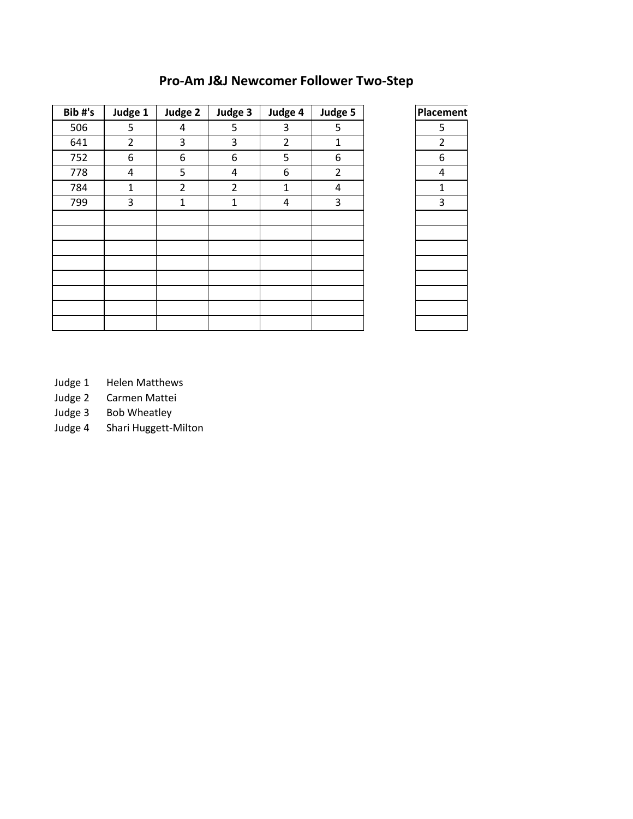| Bib#'s | Judge 1        | Judge 2        | Judge 3        | Judge 4        | Judge 5        | Placement      |
|--------|----------------|----------------|----------------|----------------|----------------|----------------|
| 506    | 5              | 4              | 5              | 3              | 5              | 5              |
| 641    | $\overline{2}$ | 3              | 3              | $\overline{2}$ | $\mathbf{1}$   | $\overline{2}$ |
| 752    | 6              | 6              | 6              | 5              | 6              | 6              |
| 778    | 4              | 5              | 4              | 6              | $\overline{2}$ | 4              |
| 784    | $\mathbf{1}$   | $\overline{2}$ | $\overline{2}$ | 1              | 4              | 1              |
| 799    | 3              | $\mathbf 1$    | $\mathbf{1}$   | 4              | 3              | 3              |
|        |                |                |                |                |                |                |
|        |                |                |                |                |                |                |
|        |                |                |                |                |                |                |
|        |                |                |                |                |                |                |
|        |                |                |                |                |                |                |
|        |                |                |                |                |                |                |
|        |                |                |                |                |                |                |
|        |                |                |                |                |                |                |

## **Pro-Am J&J Newcomer Follower Two-Step**

| Placement      |
|----------------|
| 5              |
| $\overline{2}$ |
| 6              |
| 4              |
| $\mathbf{1}$   |
| $\overline{3}$ |
|                |
|                |
|                |
|                |
|                |
|                |
|                |
|                |
|                |

Judge 1 Helen Matthews

Judge 2 Carmen Mattei

Judge 3 Bob Wheatley<br>Judge 4 Shari Huggett-N Shari Huggett-Milton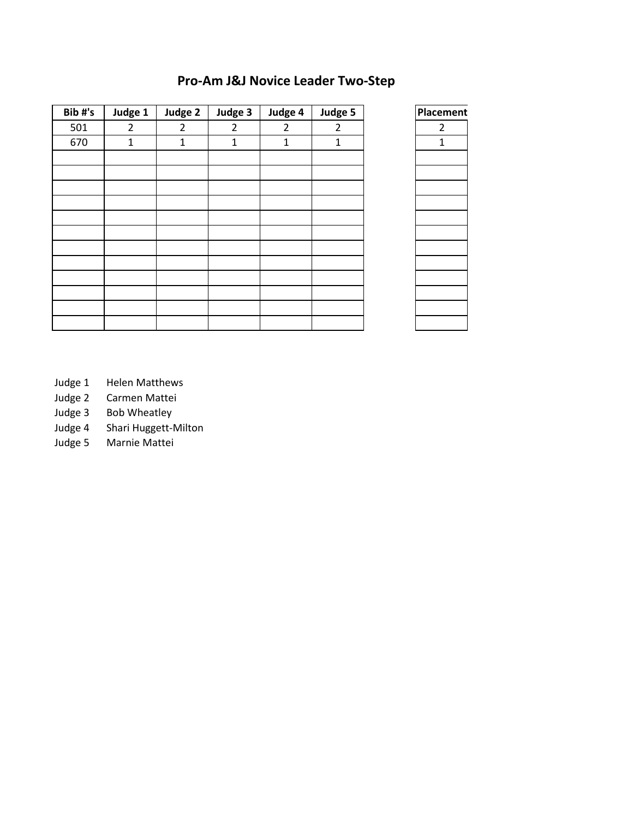### **Pro-Am J&J Novice Leader Two-Step**

| Bib#'s | Judge 1        | Judge 2        | Judge 3        | Judge 4        | Judge 5        | Placement      |
|--------|----------------|----------------|----------------|----------------|----------------|----------------|
| 501    | $\overline{2}$ | $\overline{2}$ | $\overline{2}$ | $\overline{2}$ | $\overline{2}$ | $\overline{2}$ |
| 670    | $\mathbf{1}$   | $\mathbf{1}$   | $\mathbf{1}$   | 1              | $\mathbf{1}$   | $\mathbf{1}$   |
|        |                |                |                |                |                |                |
|        |                |                |                |                |                |                |
|        |                |                |                |                |                |                |
|        |                |                |                |                |                |                |
|        |                |                |                |                |                |                |
|        |                |                |                |                |                |                |
|        |                |                |                |                |                |                |
|        |                |                |                |                |                |                |
|        |                |                |                |                |                |                |
|        |                |                |                |                |                |                |
|        |                |                |                |                |                |                |
|        |                |                |                |                |                |                |

| <b>Placement</b> |
|------------------|
| $\frac{2}{1}$    |
|                  |
|                  |
|                  |
|                  |
|                  |
|                  |
|                  |
|                  |
|                  |
|                  |
|                  |
|                  |
|                  |
|                  |

- Judge 1 Helen Matthews
- Judge 2 Carmen Mattei
- Judge 3 Bob Wheatley
- Judge 4 Shari Huggett-Milton
- Judge 5 Marnie Mattei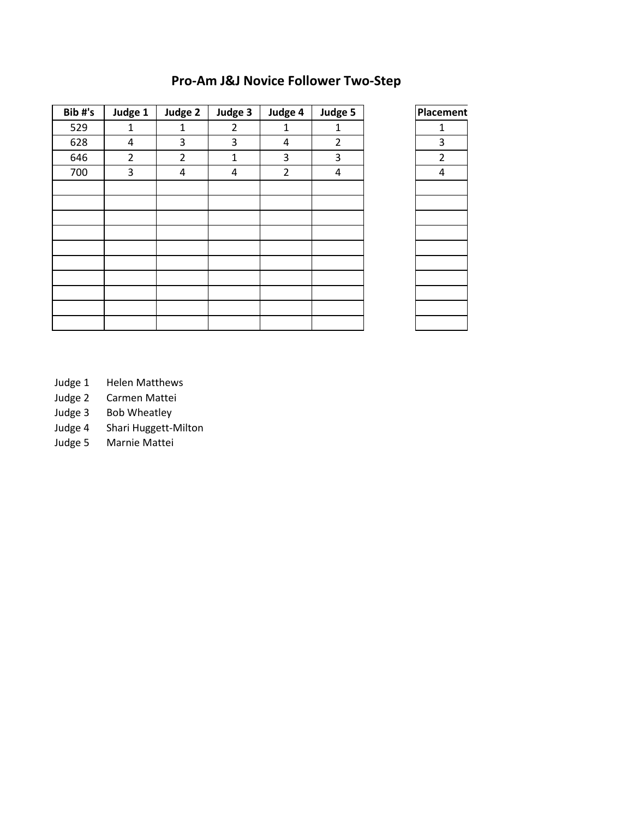## **Pro-Am J&J Novice Follower Two-Step**

| Bib#'s | Judge 1        | Judge 2        | Judge 3        | Judge 4        | Judge 5        | Placement      |
|--------|----------------|----------------|----------------|----------------|----------------|----------------|
| 529    | 1              | $\mathbf{1}$   | $\overline{2}$ | $\mathbf{1}$   | $\mathbf{1}$   | $\mathbf{1}$   |
| 628    | 4              | 3              | 3              | 4              | $\overline{2}$ | 3              |
| 646    | $\overline{2}$ | $\overline{2}$ | $\mathbf{1}$   | 3              | 3              | $\overline{2}$ |
| 700    | 3              | 4              | 4              | $\overline{2}$ | 4              | $\overline{4}$ |
|        |                |                |                |                |                |                |
|        |                |                |                |                |                |                |
|        |                |                |                |                |                |                |
|        |                |                |                |                |                |                |
|        |                |                |                |                |                |                |
|        |                |                |                |                |                |                |
|        |                |                |                |                |                |                |
|        |                |                |                |                |                |                |
|        |                |                |                |                |                |                |
|        |                |                |                |                |                |                |

| Placement     |
|---------------|
| $\mathbf{1}$  |
| 3             |
| $\frac{2}{4}$ |
|               |
|               |
|               |
|               |
|               |
|               |
|               |
|               |
|               |
|               |
|               |
|               |

- Judge 1 Helen Matthews
- Judge 2 Carmen Mattei
- Judge 3 Bob Wheatley
- Judge 4 Shari Huggett-Milton
- Judge 5 Marnie Mattei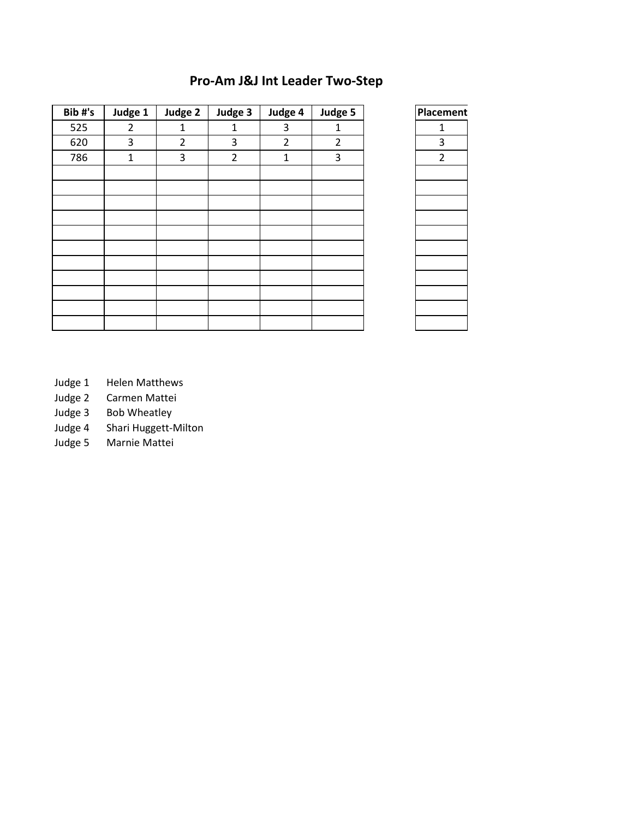## **Pro-Am J&J Int Leader Two-Step**

| Bib#'s | Judge 1 | Judge 2        | Judge 3        | Judge 4        | Judge 5        | Placement      |
|--------|---------|----------------|----------------|----------------|----------------|----------------|
| 525    | 2       | 1              | 1              | 3              | 1              | 1              |
| 620    | 3       | $\overline{2}$ | 3              | $\overline{2}$ | $\overline{2}$ | 3              |
| 786    | 1       | 3              | $\overline{2}$ | $\mathbf{1}$   | 3              | $\overline{2}$ |
|        |         |                |                |                |                |                |
|        |         |                |                |                |                |                |
|        |         |                |                |                |                |                |
|        |         |                |                |                |                |                |
|        |         |                |                |                |                |                |
|        |         |                |                |                |                |                |
|        |         |                |                |                |                |                |
|        |         |                |                |                |                |                |
|        |         |                |                |                |                |                |
|        |         |                |                |                |                |                |
|        |         |                |                |                |                |                |

| Placement     |
|---------------|
| 1             |
| 3             |
| $\frac{1}{2}$ |
|               |
|               |
|               |
|               |
|               |
|               |
|               |
|               |
|               |
|               |
|               |

- Judge 1 Helen Matthews
- Judge 2 Carmen Mattei<br>Judge 3 Bob Wheatley
- Bob Wheatley
- Judge 4 Shari Huggett-Milton
- Judge 5 Marnie Mattei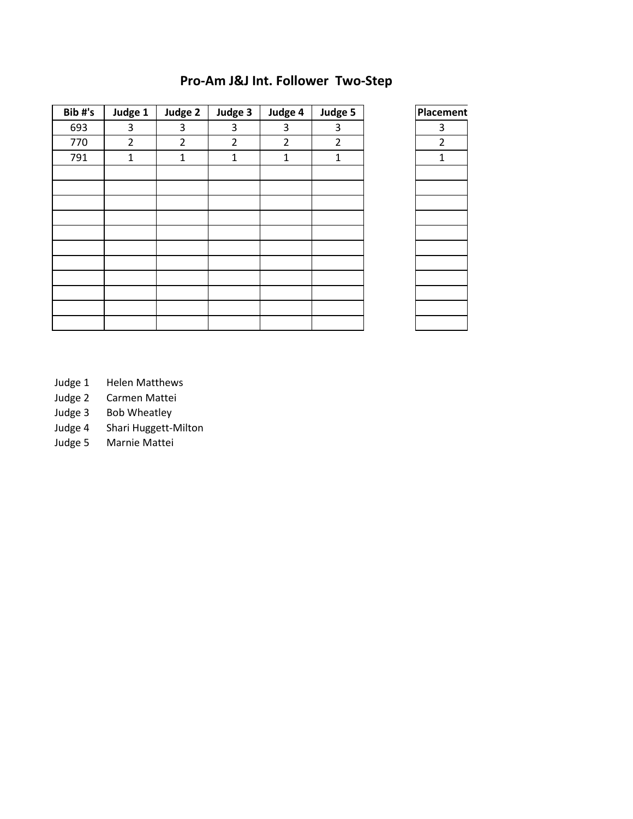### **Pro-Am J&J Int. Follower Two-Step**

| Bib#'s | Judge 1        | Judge 2        | Judge 3        | Judge 4        | Judge 5        | Placement      |
|--------|----------------|----------------|----------------|----------------|----------------|----------------|
| 693    | 3              | 3              | 3              | 3              | 3              | 3              |
| 770    | $\overline{2}$ | $\overline{2}$ | $\overline{2}$ | $\overline{2}$ | $\overline{2}$ | $\overline{2}$ |
| 791    | 1              | 1              | $\mathbf{1}$   | $\mathbf{1}$   | 1              | 1              |
|        |                |                |                |                |                |                |
|        |                |                |                |                |                |                |
|        |                |                |                |                |                |                |
|        |                |                |                |                |                |                |
|        |                |                |                |                |                |                |
|        |                |                |                |                |                |                |
|        |                |                |                |                |                |                |
|        |                |                |                |                |                |                |
|        |                |                |                |                |                |                |
|        |                |                |                |                |                |                |
|        |                |                |                |                |                |                |

| Placement      |  |
|----------------|--|
| $\frac{3}{2}$  |  |
|                |  |
| $\overline{1}$ |  |
|                |  |
|                |  |
|                |  |
|                |  |
|                |  |
|                |  |
|                |  |
|                |  |
|                |  |
|                |  |
|                |  |

- Judge 1 Helen Matthews
- Judge 2 Carmen Mattei<br>Judge 3 Bob Wheatley
- Bob Wheatley
- Judge 4 Shari Huggett-Milton
- Judge 5 Marnie Mattei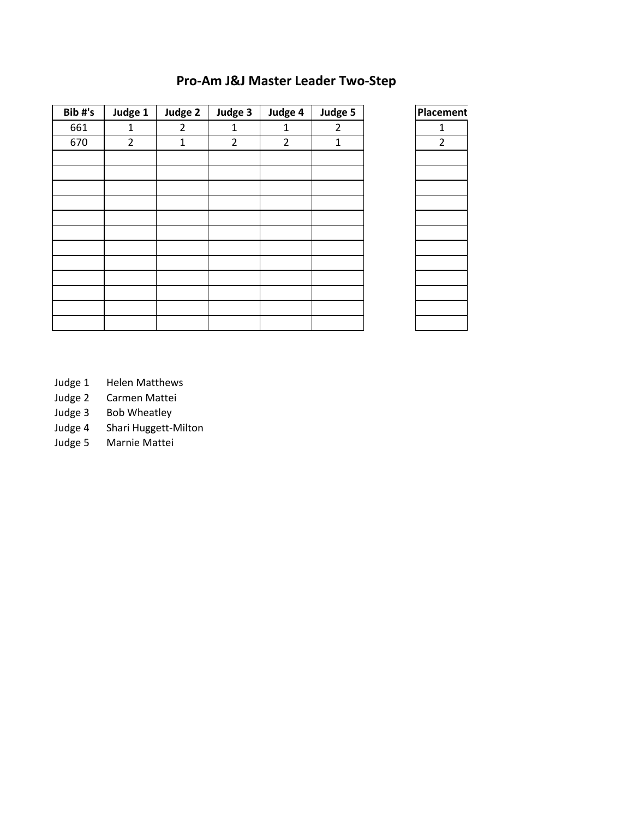### **Pro-Am J&J Master Leader Two-Step**

| Bib#'s | Judge 1        | Judge 2        | Judge 3        | Judge 4        | Judge 5        | Placer         |
|--------|----------------|----------------|----------------|----------------|----------------|----------------|
| 661    | $\mathbf{1}$   | $\overline{2}$ | 1              | $\mathbf{1}$   | $\overline{2}$ | $\mathbf{1}$   |
| 670    | $\overline{2}$ | $\mathbf{1}$   | $\overline{2}$ | $\overline{2}$ | $\mathbf{1}$   | $\overline{2}$ |
|        |                |                |                |                |                |                |
|        |                |                |                |                |                |                |
|        |                |                |                |                |                |                |
|        |                |                |                |                |                |                |
|        |                |                |                |                |                |                |
|        |                |                |                |                |                |                |
|        |                |                |                |                |                |                |
|        |                |                |                |                |                |                |
|        |                |                |                |                |                |                |
|        |                |                |                |                |                |                |
|        |                |                |                |                |                |                |
|        |                |                |                |                |                |                |
|        |                |                |                |                |                |                |



- Judge 1 Helen Matthews
- Judge 2 Carmen Mattei<br>Judge 3 Bob Wheatley
- Bob Wheatley
- Judge 4 Shari Huggett-Milton
- Judge 5 Marnie Mattei